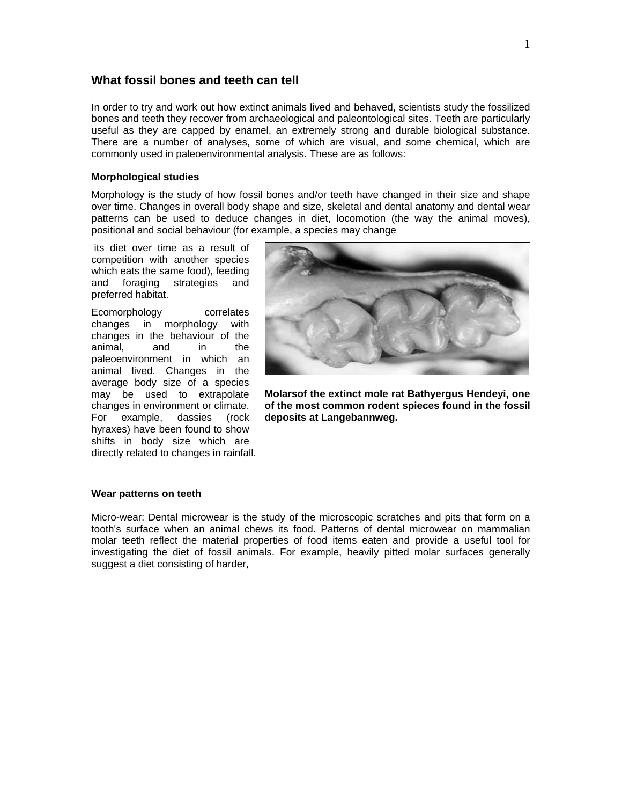# **What fossil bones and teeth can tell**

In order to try and work out how extinct animals lived and behaved, scientists study the fossilized bones and teeth they recover from archaeological and paleontological sites. Teeth are particularly useful as they are capped by enamel, an extremely strong and durable biological substance. There are a number of analyses, some of which are visual, and some chemical, which are commonly used in paleoenvironmental analysis. These are as follows:

### **Morphological studies**

Morphology is the study of how fossil bones and/or teeth have changed in their size and shape over time. Changes in overall body shape and size, skeletal and dental anatomy and dental wear patterns can be used to deduce changes in diet, locomotion (the way the animal moves), positional and social behaviour (for example, a species may change

 its diet over time as a result of competition with another species which eats the same food), feeding and foraging strategies and preferred habitat.

Ecomorphology correlates changes in morphology with changes in the behaviour of the animal, and in the paleoenvironment in which an animal lived. Changes in the average body size of a species may be used to extrapolate changes in environment or climate. For example, dassies (rock hyraxes) have been found to show shifts in body size which are directly related to changes in rainfall.



**Molarsof the extinct mole rat Bathyergus Hendeyi, one of the most common rodent spieces found in the fossil deposits at Langebannweg.** 

### **Wear patterns on teeth**

Micro-wear: Dental microwear is the study of the microscopic scratches and pits that form on a tooth's surface when an animal chews its food. Patterns of dental microwear on mammalian molar teeth reflect the material properties of food items eaten and provide a useful tool for investigating the diet of fossil animals. For example, heavily pitted molar surfaces generally suggest a diet consisting of harder,